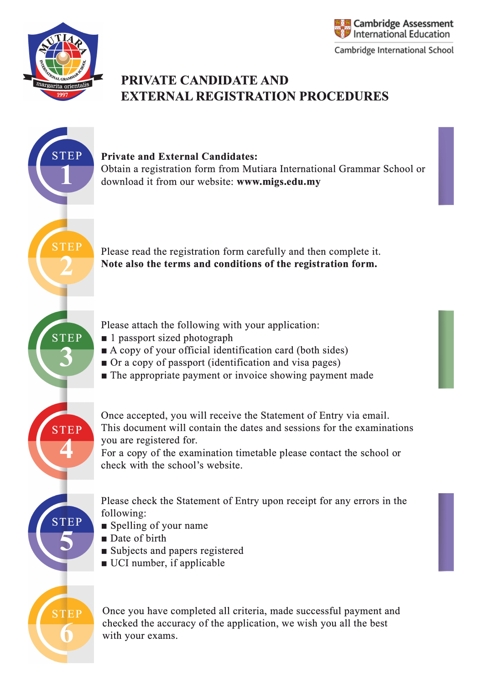



# **PRIVATE CANDIDATE AND EXTERNAL REGISTRATION PROCEDURES**



Obtain a registration form from Mutiara International Grammar School or download it from our website: **www.migs.edu.my** 

Please read the registration form carefully and then complete it. **Note also the terms and conditions of the registration form.** 

Please attach the following with your application:

- 1 passport sized photograph
- A copy of your official identification card (both sides)
- Or a copy of passport (identification and visa pages)
- The appropriate payment or invoice showing payment made

Once accepted, you will receive the Statement of Entry via email. This document will contain the dates and sessions for the examinations you are registered for.

For a copy of the examination timetable please contact the school or check with the school's website.

Please check the Statement of Entry upon receipt for any errors in the following:

- Spelling of your name
- Date of birth
- Subjects and papers registered
- UCI number, if applicable

Once you have completed all criteria, made successful payment and checked the accuracy of the application, we wish you all the best with your exams.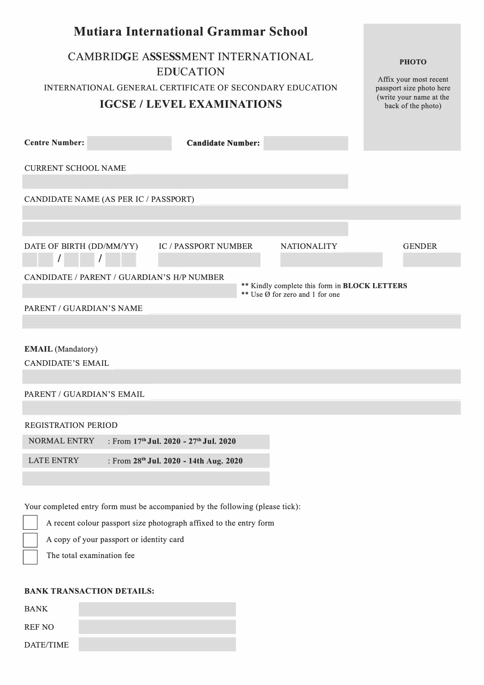| <b>Mutiara International Grammar School</b>                                                                                    |                                                     |  |  |
|--------------------------------------------------------------------------------------------------------------------------------|-----------------------------------------------------|--|--|
| CAMBRIDGE ASSESSMENT INTERNATIONAL<br><b>EDUCATION</b>                                                                         | <b>РНОТО</b><br>Affix your most recent              |  |  |
| INTERNATIONAL GENERAL CERTIFICATE OF SECONDARY EDUCATION                                                                       | passport size photo here<br>(write your name at the |  |  |
| <b>IGCSE / LEVEL EXAMINATIONS</b>                                                                                              | back of the photo)                                  |  |  |
|                                                                                                                                |                                                     |  |  |
| <b>Centre Number:</b><br><b>Candidate Number:</b>                                                                              |                                                     |  |  |
| <b>CURRENT SCHOOL NAME</b>                                                                                                     |                                                     |  |  |
| CANDIDATE NAME (AS PER IC / PASSPORT)                                                                                          |                                                     |  |  |
|                                                                                                                                |                                                     |  |  |
|                                                                                                                                |                                                     |  |  |
| <b>IC / PASSPORT NUMBER</b><br>DATE OF BIRTH (DD/MM/YY)<br><b>NATIONALITY</b>                                                  | <b>GENDER</b>                                       |  |  |
| CANDIDATE / PARENT / GUARDIAN'S H/P NUMBER<br>** Kindly complete this form in BLOCK LETTERS<br>** Use Ø for zero and 1 for one |                                                     |  |  |
| PARENT / GUARDIAN'S NAME                                                                                                       |                                                     |  |  |
|                                                                                                                                |                                                     |  |  |
| <b>EMAIL</b> (Mandatory)                                                                                                       |                                                     |  |  |
| <b>CANDIDATE'S EMAIL</b>                                                                                                       |                                                     |  |  |
|                                                                                                                                |                                                     |  |  |
| PARENT / GUARDIAN'S EMAIL                                                                                                      |                                                     |  |  |
|                                                                                                                                |                                                     |  |  |
| REGISTRATION PERIOD<br><b>NORMAL ENTRY</b><br>: From 17th Jul. 2020 - 27th Jul. 2020                                           |                                                     |  |  |
| <b>LATE ENTRY</b><br>: From 28th Jul. 2020 - 14th Aug. 2020                                                                    |                                                     |  |  |
|                                                                                                                                |                                                     |  |  |
|                                                                                                                                |                                                     |  |  |
| Your completed entry form must be accompanied by the following (please tick):                                                  |                                                     |  |  |
| A recent colour passport size photograph affixed to the entry form                                                             |                                                     |  |  |
| A copy of your passport or identity card                                                                                       |                                                     |  |  |
| The total examination fee                                                                                                      |                                                     |  |  |
|                                                                                                                                |                                                     |  |  |

## **BANK TRANSACTION DETAILS:**

| <b>BANK</b>   |  |
|---------------|--|
| <b>REF NO</b> |  |
| DATE/TIME     |  |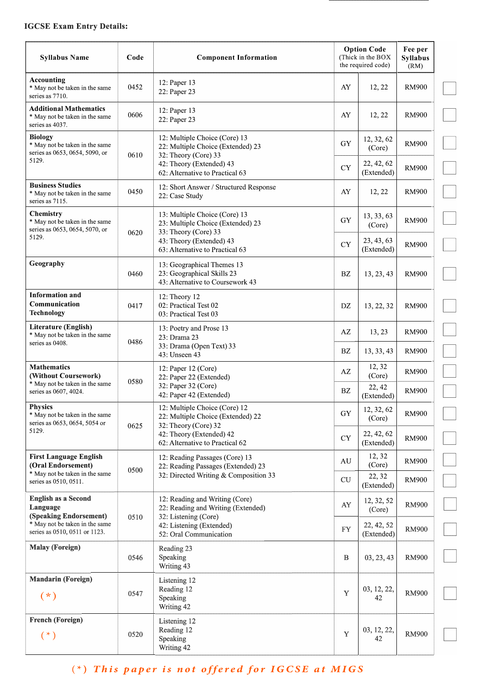#### **IGCSE Exam Entry Details:**

| <b>Syllabus Name</b>                                                                       | Code                                                                                       | <b>Component Information</b>                                                                 | <b>Option Code</b><br>(Thick in the BOX<br>the required code) |                          | Fee per<br><b>Syllabus</b><br>(RM) |
|--------------------------------------------------------------------------------------------|--------------------------------------------------------------------------------------------|----------------------------------------------------------------------------------------------|---------------------------------------------------------------|--------------------------|------------------------------------|
| Accounting<br>* May not be taken in the same<br>series as 7710.                            | 0452                                                                                       | 12: Paper 13<br>22: Paper 23                                                                 | AY                                                            | 12, 22                   | <b>RM900</b>                       |
| <b>Additional Mathematics</b><br>* May not be taken in the same<br>series as 4037.         | 0606                                                                                       | 12: Paper 13<br>22: Paper 23                                                                 | AY                                                            | 12, 22                   | <b>RM900</b>                       |
| <b>Biology</b><br>* May not be taken in the same<br>series as 0653, 0654, 5090, or<br>0610 | 12: Multiple Choice (Core) 13<br>22: Multiple Choice (Extended) 23<br>32: Theory (Core) 33 | GY                                                                                           | 12, 32, 62<br>(Core)                                          | <b>RM900</b>             |                                    |
| 5129.                                                                                      |                                                                                            | 42: Theory (Extended) 43<br>62: Alternative to Practical 63                                  | <b>CY</b>                                                     | 22, 42, 62<br>(Extended) | <b>RM900</b>                       |
| <b>Business Studies</b><br>* May not be taken in the same<br>series as 7115.               | 0450                                                                                       | 12: Short Answer / Structured Response<br>22: Case Study                                     | AY                                                            | 12, 22                   | <b>RM900</b>                       |
| <b>Chemistry</b><br>* May not be taken in the same<br>series as 0653, 0654, 5070, or       | 0620                                                                                       | 13: Multiple Choice (Core) 13<br>23: Multiple Choice (Extended) 23<br>33: Theory (Core) 33   | GY                                                            | 13, 33, 63<br>(Core)     | <b>RM900</b>                       |
| 5129.                                                                                      |                                                                                            | 43: Theory (Extended) 43<br>63: Alternative to Practical 63                                  | <b>CY</b>                                                     | 23, 43, 63<br>(Extended) | <b>RM900</b>                       |
| Geography                                                                                  | 0460                                                                                       | 13: Geographical Themes 13<br>23: Geographical Skills 23<br>43: Alternative to Coursework 43 | <b>BZ</b>                                                     | 13, 23, 43               | <b>RM900</b>                       |
| <b>Information and</b><br>Communication<br><b>Technology</b>                               | 0417                                                                                       | 12: Theory 12<br>02: Practical Test 02<br>03: Practical Test 03                              | DZ                                                            | 13, 22, 32               | <b>RM900</b>                       |
| Literature (English)<br>* May not be taken in the same<br>series as 0408.                  | 0486                                                                                       | 13: Poetry and Prose 13<br>23: Drama 23                                                      | AZ                                                            | 13, 23                   | <b>RM900</b>                       |
|                                                                                            |                                                                                            | 33: Drama (Open Text) 33<br>43: Unseen 43                                                    | <b>BZ</b>                                                     | 13, 33, 43               | <b>RM900</b>                       |
| <b>Mathematics</b><br>(Without Coursework)<br>* May not be taken in the same               | 0580                                                                                       | 12: Paper 12 (Core)<br>22: Paper 22 (Extended)                                               | AZ                                                            | 12, 32<br>(Core)         | <b>RM900</b>                       |
| series as 0607, 4024.                                                                      |                                                                                            | 32: Paper 32 (Core)<br>42: Paper 42 (Extended)                                               | <b>BZ</b>                                                     | 22, 42<br>(Extended)     | <b>RM900</b>                       |
| Physics<br>* May not be taken in the same<br>series as 0653, 0654, 5054 or                 | 0625                                                                                       | 12: Multiple Choice (Core) 12<br>22: Multiple Choice (Extended) 22<br>32: Theory (Core) 32   | GY                                                            | 12, 32, 62<br>(Core)     | <b>RM900</b>                       |
| 5129.                                                                                      |                                                                                            | 42: Theory (Extended) 42<br>62: Alternative to Practical 62                                  | <b>CY</b>                                                     | 22, 42, 62<br>(Extended) | <b>RM900</b>                       |
| <b>First Language English</b><br>(Oral Endorsement)                                        |                                                                                            | 12: Reading Passages (Core) 13<br>22: Reading Passages (Extended) 23                         | AU                                                            | 12, 32<br>(Core)         | <b>RM900</b>                       |
| * May not be taken in the same<br>series as 0510, 0511.                                    | 0500                                                                                       | 32: Directed Writing & Composition 33                                                        | CU                                                            | 22, 32<br>(Extended)     | <b>RM900</b>                       |
| <b>English as a Second</b><br>Language<br>(Speaking Endorsement)                           |                                                                                            | 12: Reading and Writing (Core)<br>22: Reading and Writing (Extended)                         | AY                                                            | 12, 32, 52<br>(Core)     | <b>RM900</b>                       |
| * May not be taken in the same<br>series as 0510, 0511 or 1123.                            | 0510                                                                                       | 32: Listening (Core)<br>42: Listening (Extended)<br>52: Oral Communication                   | <b>FY</b>                                                     | 22, 42, 52<br>(Extended) | <b>RM900</b>                       |
| <b>Malay (Foreign)</b>                                                                     | 0546                                                                                       | Reading 23<br>Speaking<br>Writing 43                                                         | B                                                             | 03, 23, 43               | <b>RM900</b>                       |
| <b>Mandarin (Foreign)</b><br>$(*)$                                                         | 0547                                                                                       | Listening 12<br>Reading 12<br>Speaking<br>Writing 42                                         | Y                                                             | 03, 12, 22,<br>42        | <b>RM900</b>                       |
| French (Foreign)<br>$(\star)$                                                              | 0520                                                                                       | Listening 12<br>Reading 12<br>Speaking<br>Writing 42                                         | $\mathbf Y$                                                   | 03, 12, 22,<br>42        | <b>RM900</b>                       |

( **\* )** *This paper is not offered for IGCSE at MIGS*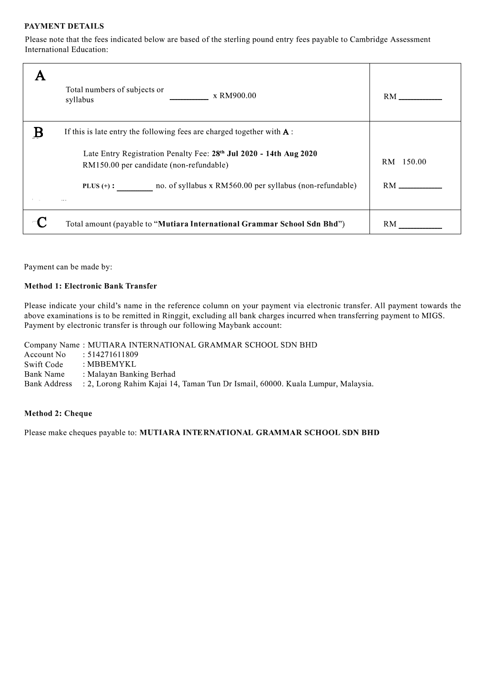### **PAYMENT DETAILS**

Please note that the fees indicated below are based of the sterling pound entry fees payable to Cambridge Assessment International Education:

| Total numbers of subjects or<br>x RM900.00<br>syllabus                                                                    | RM.                                                                                                                                                                                                                            |
|---------------------------------------------------------------------------------------------------------------------------|--------------------------------------------------------------------------------------------------------------------------------------------------------------------------------------------------------------------------------|
| If this is late entry the following fees are charged together with $A$ :                                                  |                                                                                                                                                                                                                                |
| Late Entry Registration Penalty Fee: 28 <sup>th</sup> Jul 2020 - 14th Aug 2020<br>RM150.00 per candidate (non-refundable) | RM 150.00                                                                                                                                                                                                                      |
| no. of syllabus x RM560.00 per syllabus (non-refundable)<br>PLUS $(+)$ :                                                  | RM FOR THE STATE OF THE STATE OF THE STATE OF THE STATE OF THE STATE OF THE STATE OF THE STATE OF THE STATE OF THE STATE OF THE STATE OF THE STATE OF THE STATE OF THE STATE OF THE STATE OF THE STATE OF THE STATE OF THE STA |
| Total amount (payable to "Mutiara International Grammar School Sdn Bhd")                                                  | <b>RM</b>                                                                                                                                                                                                                      |

Payment can be made by:

#### **Method 1: Electronic Bank Transfer**

Please indicate your child's name in the reference column on your payment via electronic transfer. All payment towards the above examinations is to be remitted in Ringgit, excluding all bank charges incurred when transferring payment to MIGS. Payment by electronic transfer is through our following Maybank account:

Company Name : MUTIARA INTERNATIONAL GRAMMAR SCHOOL SDN BHD<br>Account No : 514271611809

Account No : 514271611809<br>Swift Code : MBBEMYKL

 $:MBBEMYKL$ 

Bank Name : Malayan Banking Berhad

Bank Address : 2, Lorong Rahim Kajai 14, Taman Tun Dr Ismail, 60000. Kuala Lumpur, Malaysia.

#### **Method 2: Cheque**

Please make cheques payable to: **MUTIARA INTERNATIONAL GRAMMAR SCHOOL SDN BHD**